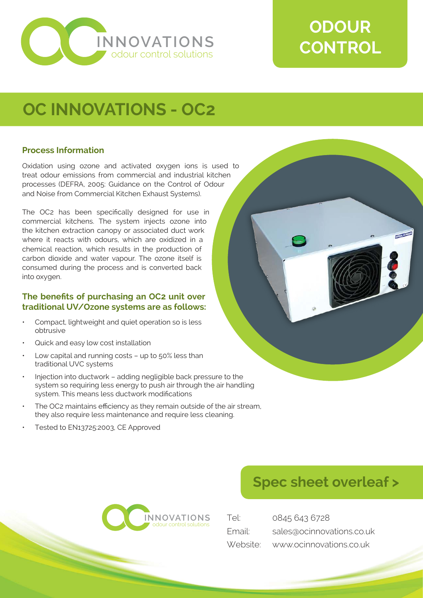

# **ODOUR CONTROL**

## **OC INNOVATIONS - OC2**

#### **Process Information**

Oxidation using ozone and activated oxygen ions is used to treat odour emissions from commercial and industrial kitchen processes (DEFRA, 2005: Guidance on the Control of Odour and Noise from Commercial Kitchen Exhaust Systems).

The OC2 has been specifically designed for use in commercial kitchens. The system injects ozone into the kitchen extraction canopy or associated duct work where it reacts with odours, which are oxidized in a chemical reaction, which results in the production of carbon dioxide and water vapour. The ozone itself is consumed during the process and is converted back into oxygen.

#### **The benefits of purchasing an OC2 unit over traditional UV/Ozone systems are as follows:**

- Compact, lightweight and quiet operation so is less obtrusive
- Quick and easy low cost installation
- Low capital and running costs up to 50% less than traditional UVC systems
- Injection into ductwork adding negligible back pressure to the system so requiring less energy to push air through the air handling system. This means less ductwork modifications
- The OC2 maintains efficiency as they remain outside of the air stream, they also require less maintenance and require less cleaning.
- Tested to EN13725:2003, CE Approved





| Tel:   | 0845 643 6728                    |
|--------|----------------------------------|
| Email: | sales@ocinnovations.co.uk        |
|        | Website: www.ocinnovations.co.uk |